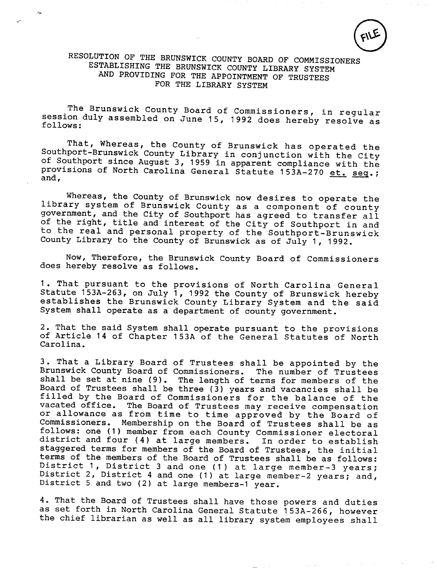$FILE$ 

## RESOLUTION OF THE BRUNSWICK COUNTY BOARD OF COMMISSIONERS ESTABLISHING THE BRUNSWICK COUNTY LIBRARY SYSTEM AND PROVIDING FOR THE APPOINTMENT OF TRUSTEES FOR THE LIBRARY SYSTEM

The Brunswick County Board of Commissioners, in regular session duly assembled on June 15, <sup>1992</sup> does hereby resolve as follows:

That, Whereas, the County of Brunswick has operated the Southport-Brunswick County Library in conjunction with the City of Southport since August 3, <sup>1959</sup> in apparent compliance with the provisions of North Carolina General Statute 153A-270 et. seq.;

Whereas, the County of Brunswick now desires to operate the library system of Brunswick County as <sup>a</sup> component of county government, and the City of Southport has agreed to transfer all of the right, title and interest of the City of Southport in and to the real and personal property of the Southport-Brunswick County Library to the County of Brunswick as of July 1, 1992.

Now, Therefore, the Brunswick County Board of Commissioners does hereby resolve as follows.

1. That pursuant to the provisions of North Carolina General Statute 153A-263, on July 1, 1992 the County of Brunswick hereby establishes the Brunswick County Library System and the said System shall operate as <sup>a</sup> department of county government.

2. That the said System shall operate pursuant to the provisions of Article <sup>14</sup> of Chapter 153A of the General Statutes of North Carolina.

3. That <sup>a</sup> Library Board of Trustees shall be appointed by the Brunswick County Board of Commissioners. The number of Trustees 3. That a Library Board of Trustees shall be appointed by the<br>Brunswick County Board of Commissioners. The number of Trustees<br>shall be set at nine (9). The length of terms for members of the<br>Board of Trustees shall be thre shall be set at nine (9). The length of terms for members of the Board of Trustees shall be three (3) years and vacancies shall be filled by the Board of Commissioners for the balance of the vacated office. The Board of Trustees may receive compensation or allowance as from time to time approved by the Board of Commissioners. Membership on the Board of Trustees shall be as Commissioners. Membership on the Board of Trustees shall be as<br>follows: one (1) member from each County Commissioner electoral follows: one (1) member from each County Commissioner electoral<br>district and four (4) at large members. In order to establish district and four (4) at large members. In order to establish<br>staggered terms for members of the Board of Trustees, the initial terms of the members of the Board of Trustees shall be as follows: district and four (4) at large members. In order to establish<br>staggered terms for members of the Board of Trustees, the initial<br>terms of the members of the Board of Trustees shall be as follows:<br>District 1, District 3 and being the members of the Board of Trustees, the Initial<br>terms of the members of the Board of Trustees shall be as follows:<br>District 1, District 3 and one (1) at large member-2 years; and,<br>District 5 and two (2) at large me District 1, District 3 and one (1) at large member-3 years;<br>District 2, District 4 and one (1) at large member-2 years; and,<br>District 5 and two (2) at large members-1 year.

4. That the Board of Trustees shall have those powers and duties as set forth in North Carolina General Statute 153A-256, however the chief librarian as well as all library system employees shall